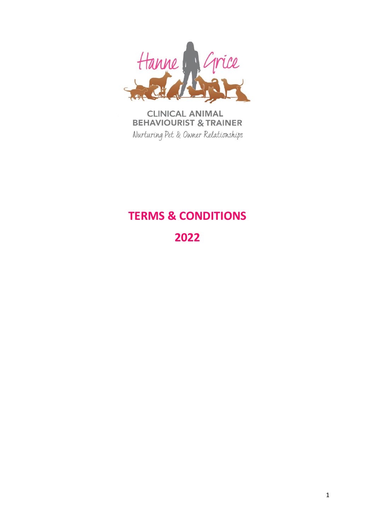

**CLINICAL ANIMAL BEHAVIOURIST & TRAINER** Nurturing Pet & Owner Relationships

# **TERMS & CONDITIONS**

**2022**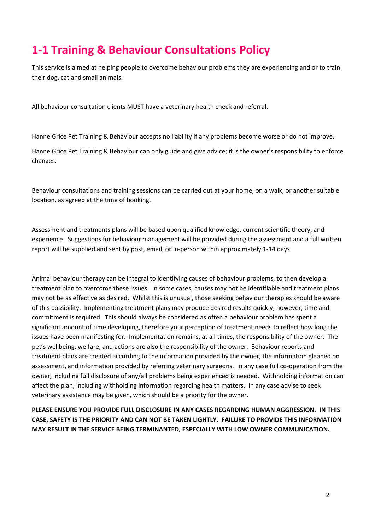# **1-1 Training & Behaviour Consultations Policy**

This service is aimed at helping people to overcome behaviour problems they are experiencing and or to train their dog, cat and small animals.

All behaviour consultation clients MUST have a veterinary health check and referral.

Hanne Grice Pet Training & Behaviour accepts no liability if any problems become worse or do not improve.

Hanne Grice Pet Training & Behaviour can only guide and give advice; it is the owner's responsibility to enforce changes.

Behaviour consultations and training sessions can be carried out at your home, on a walk, or another suitable location, as agreed at the time of booking.

Assessment and treatments plans will be based upon qualified knowledge, current scientific theory, and experience. Suggestions for behaviour management will be provided during the assessment and a full written report will be supplied and sent by post, email, or in-person within approximately 1-14 days.

Animal behaviour therapy can be integral to identifying causes of behaviour problems, to then develop a treatment plan to overcome these issues. In some cases, causes may not be identifiable and treatment plans may not be as effective as desired. Whilst this is unusual, those seeking behaviour therapies should be aware of this possibility. Implementing treatment plans may produce desired results quickly; however, time and commitment is required. This should always be considered as often a behaviour problem has spent a significant amount of time developing, therefore your perception of treatment needs to reflect how long the issues have been manifesting for. Implementation remains, at all times, the responsibility of the owner. The pet's wellbeing, welfare, and actions are also the responsibility of the owner. Behaviour reports and treatment plans are created according to the information provided by the owner, the information gleaned on assessment, and information provided by referring veterinary surgeons. In any case full co-operation from the owner, including full disclosure of any/all problems being experienced is needed. Withholding information can affect the plan, including withholding information regarding health matters. In any case advise to seek veterinary assistance may be given, which should be a priority for the owner.

**PLEASE ENSURE YOU PROVIDE FULL DISCLOSURE IN ANY CASES REGARDING HUMAN AGGRESSION. IN THIS CASE, SAFETY IS THE PRIORITY AND CAN NOT BE TAKEN LIGHTLY. FAILURE TO PROVIDE THIS INFORMATION MAY RESULT IN THE SERVICE BEING TERMINANTED, ESPECIALLY WITH LOW OWNER COMMUNICATION.**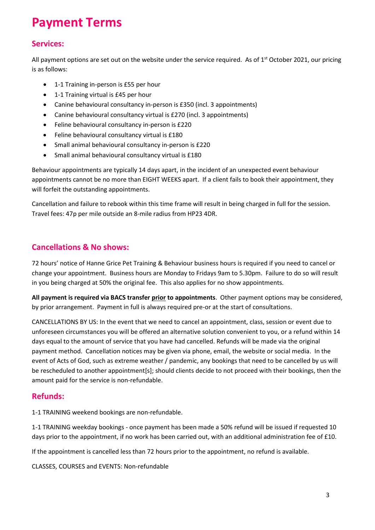# **Payment Terms**

## **Services:**

All payment options are set out on the website under the service required. As of  $1<sup>st</sup>$  October 2021, our pricing is as follows:

- 1-1 Training in-person is £55 per hour
- 1-1 Training virtual is £45 per hour
- Canine behavioural consultancy in-person is £350 (incl. 3 appointments)
- Canine behavioural consultancy virtual is £270 (incl. 3 appointments)
- Feline behavioural consultancy in-person is £220
- Feline behavioural consultancy virtual is £180
- Small animal behavioural consultancy in-person is £220
- Small animal behavioural consultancy virtual is £180

Behaviour appointments are typically 14 days apart, in the incident of an unexpected event behaviour appointments cannot be no more than EIGHT WEEKS apart. If a client fails to book their appointment, they will forfeit the outstanding appointments.

Cancellation and failure to rebook within this time frame will result in being charged in full for the session. Travel fees: 47p per mile outside an 8-mile radius from HP23 4DR.

#### **Cancellations & No shows:**

72 hours' notice of Hanne Grice Pet Training & Behaviour business hours is required if you need to cancel or change your appointment. Business hours are Monday to Fridays 9am to 5.30pm. Failure to do so will result in you being charged at 50% the original fee. This also applies for no show appointments.

**All payment is required via BACS transfer prior to appointments**. Other payment options may be considered, by prior arrangement. Payment in full is always required pre-or at the start of consultations.

CANCELLATIONS BY US: In the event that we need to cancel an appointment, class, session or event due to unforeseen circumstances you will be offered an alternative solution convenient to you, or a refund within 14 days equal to the amount of service that you have had cancelled. Refunds will be made via the original payment method. Cancellation notices may be given via phone, email, the website or social media. In the event of Acts of God, such as extreme weather / pandemic, any bookings that need to be cancelled by us will be rescheduled to another appointment[s]; should clients decide to not proceed with their bookings, then the amount paid for the service is non-refundable.

#### **Refunds:**

1-1 TRAINING weekend bookings are non-refundable.

1-1 TRAINING weekday bookings - once payment has been made a 50% refund will be issued if requested 10 days prior to the appointment, if no work has been carried out, with an additional administration fee of £10.

If the appointment is cancelled less than 72 hours prior to the appointment, no refund is available.

CLASSES, COURSES and EVENTS: Non-refundable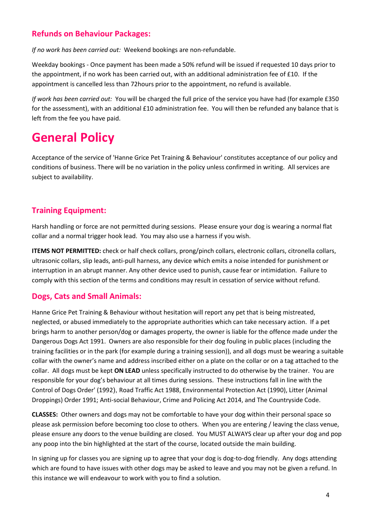### **Refunds on Behaviour Packages:**

*If no work has been carried out:* Weekend bookings are non-refundable.

Weekday bookings - Once payment has been made a 50% refund will be issued if requested 10 days prior to the appointment, if no work has been carried out, with an additional administration fee of £10. If the appointment is cancelled less than 72hours prior to the appointment, no refund is available.

*If work has been carried out:* You will be charged the full price of the service you have had (for example £350 for the assessment), with an additional £10 administration fee. You will then be refunded any balance that is left from the fee you have paid.

# **General Policy**

Acceptance of the service of 'Hanne Grice Pet Training & Behaviour' constitutes acceptance of our policy and conditions of business. There will be no variation in the policy unless confirmed in writing. All services are subject to availability.

## **Training Equipment:**

Harsh handling or force are not permitted during sessions. Please ensure your dog is wearing a normal flat collar and a normal trigger hook lead. You may also use a harness if you wish.

**ITEMS NOT PERMITTED:** check or half check collars, prong/pinch collars, electronic collars, citronella collars, ultrasonic collars, slip leads, anti-pull harness, any device which emits a noise intended for punishment or interruption in an abrupt manner. Any other device used to punish, cause fear or intimidation. Failure to comply with this section of the terms and conditions may result in cessation of service without refund.

### **Dogs, Cats and Small Animals:**

Hanne Grice Pet Training & Behaviour without hesitation will report any pet that is being mistreated, neglected, or abused immediately to the appropriate authorities which can take necessary action. If a pet brings harm to another person/dog or damages property, the owner is liable for the offence made under the Dangerous Dogs Act 1991. Owners are also responsible for their dog fouling in public places (including the training facilities or in the park (for example during a training session)), and all dogs must be wearing a suitable collar with the owner's name and address inscribed either on a plate on the collar or on a tag attached to the collar. All dogs must be kept **ON LEAD** unless specifically instructed to do otherwise by the trainer. You are responsible for your dog's behaviour at all times during sessions. These instructions fall in line with the Control of Dogs Order' (1992), Road Traffic Act 1988, Environmental Protection Act (1990), Litter (Animal Droppings) Order 1991; Anti-social Behaviour, Crime and Policing Act 2014, and The Countryside Code.

**CLASSES:** Other owners and dogs may not be comfortable to have your dog within their personal space so please ask permission before becoming too close to others. When you are entering / leaving the class venue, please ensure any doors to the venue building are closed. You MUST ALWAYS clear up after your dog and pop any poop into the bin highlighted at the start of the course, located outside the main building.

In signing up for classes you are signing up to agree that your dog is dog-to-dog friendly. Any dogs attending which are found to have issues with other dogs may be asked to leave and you may not be given a refund. In this instance we will endeavour to work with you to find a solution.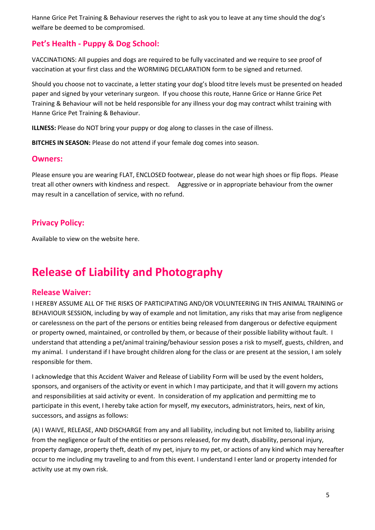Hanne Grice Pet Training & Behaviour reserves the right to ask you to leave at any time should the dog's welfare be deemed to be compromised.

### **Pet's Health - Puppy & Dog School:**

VACCINATIONS: All puppies and dogs are required to be fully vaccinated and we require to see proof of vaccination at your first class and the WORMING DECLARATION form to be signed and returned.

Should you choose not to vaccinate, a letter stating your dog's blood titre levels must be presented on headed paper and signed by your veterinary surgeon. If you choose this route, Hanne Grice or Hanne Grice Pet Training & Behaviour will not be held responsible for any illness your dog may contract whilst training with Hanne Grice Pet Training & Behaviour.

**ILLNESS:** Please do NOT bring your puppy or dog along to classes in the case of illness.

**BITCHES IN SEASON:** Please do not attend if your female dog comes into season.

#### **Owners:**

Please ensure you are wearing FLAT, ENCLOSED footwear, please do not wear high shoes or flip flops. Please treat all other owners with kindness and respect. Aggressive or in appropriate behaviour from the owner may result in a cancellation of service, with no refund.

### **Privacy Policy:**

Available to view on the website here.

# **Release of Liability and Photography**

#### **Release Waiver:**

I HEREBY ASSUME ALL OF THE RISKS OF PARTICIPATING AND/OR VOLUNTEERING IN THIS ANIMAL TRAINING or BEHAVIOUR SESSION, including by way of example and not limitation, any risks that may arise from negligence or carelessness on the part of the persons or entities being released from dangerous or defective equipment or property owned, maintained, or controlled by them, or because of their possible liability without fault. I understand that attending a pet/animal training/behaviour session poses a risk to myself, guests, children, and my animal. I understand if I have brought children along for the class or are present at the session, I am solely responsible for them.

I acknowledge that this Accident Waiver and Release of Liability Form will be used by the event holders, sponsors, and organisers of the activity or event in which I may participate, and that it will govern my actions and responsibilities at said activity or event. In consideration of my application and permitting me to participate in this event, I hereby take action for myself, my executors, administrators, heirs, next of kin, successors, and assigns as follows:

(A) I WAIVE, RELEASE, AND DISCHARGE from any and all liability, including but not limited to, liability arising from the negligence or fault of the entities or persons released, for my death, disability, personal injury, property damage, property theft, death of my pet, injury to my pet, or actions of any kind which may hereafter occur to me including my traveling to and from this event. I understand I enter land or property intended for activity use at my own risk.